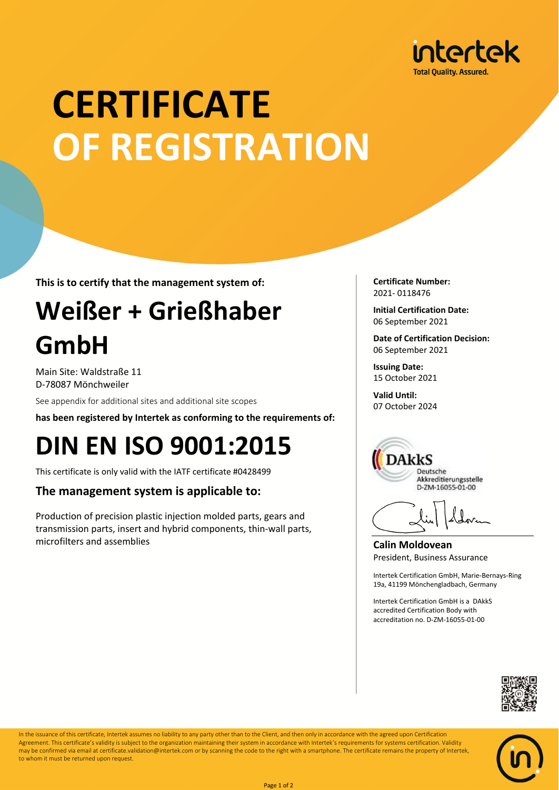

# **CERTIFICATE OF REGISTRATION**

**This is to certify that the management system of:**

## **Weißer + Grießhaber GmbH**

Main Site: Waldstraße 11 D-78087 Mönchweiler

See appendix for additional sites and additional site scopes

**has been registered by Intertek as conforming to the requirements of:**

### **DIN EN ISO 9001:2015**

This certificate is only valid with the IATF certificate #0428499

### **The management system is applicable to:**

Production of precision plastic injection molded parts, gears and transmission parts, insert and hybrid components, thin-wall parts, microfilters and assemblies

**Certificate Number:** 2021- 0118476

**Initial Certification Date:** 06 September 2021

**Date of Certification Decision:** 06 September 2021

**Issuing Date:** 15 October 2021

**Valid Until:** 07 October 2024



**Calin Moldovean** President, Business Assurance

Intertek Certification GmbH, Marie-Bernays-Ring 19a, 41199 Mönchengladbach, Germany

Intertek Certification GmbH is a DAkkS accredited Certification Body with accreditation no. D-ZM-16055-01-00





In the issuance of this certificate, Intertek assumes no liability to any party other than to the Client, and then only in accordance with the agreed upon Certification Agreement. This certificate's validity is subject to the organization maintaining their system in accordance with Intertek's requirements for systems certification. Validity may be confirmed via email at certificate.validation@intertek.com or by scanning the code to the right with a smartphone. The certificate remains the property of Intertek, to whom it must be returned upon request.